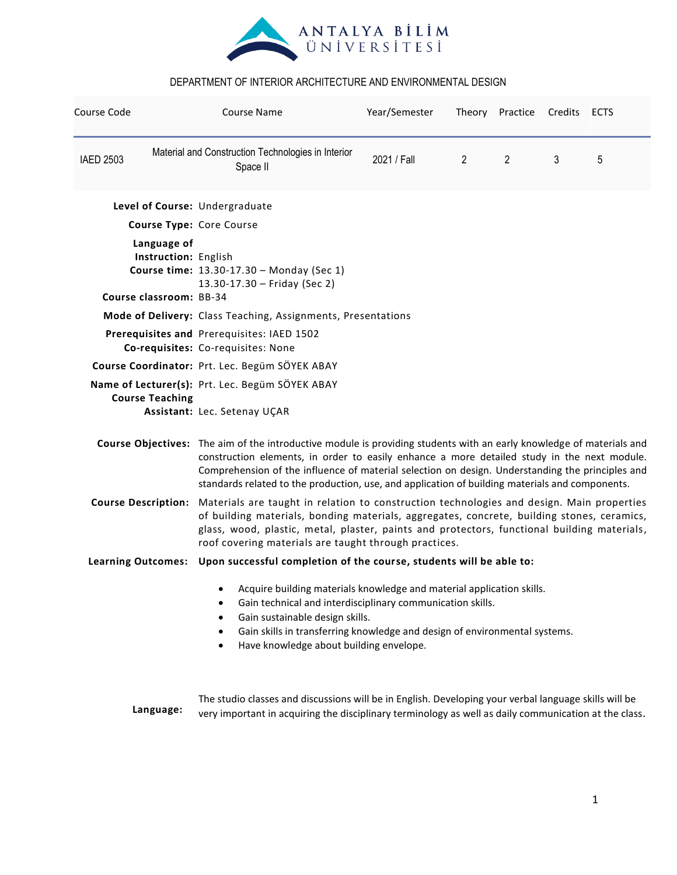

| Course Code                         | <b>Course Name</b>                                                                                                                                                                                                                                                                                                                                                                                                         | Year/Semester |                | Theory Practice Credits ECTS |   |   |
|-------------------------------------|----------------------------------------------------------------------------------------------------------------------------------------------------------------------------------------------------------------------------------------------------------------------------------------------------------------------------------------------------------------------------------------------------------------------------|---------------|----------------|------------------------------|---|---|
| <b>IAED 2503</b>                    | Material and Construction Technologies in Interior<br>Space II                                                                                                                                                                                                                                                                                                                                                             | 2021 / Fall   | $\overline{2}$ | $\overline{2}$               | 3 | 5 |
| Level of Course: Undergraduate      |                                                                                                                                                                                                                                                                                                                                                                                                                            |               |                |                              |   |   |
|                                     | Course Type: Core Course                                                                                                                                                                                                                                                                                                                                                                                                   |               |                |                              |   |   |
| Language of<br>Instruction: English | Course time: 13.30-17.30 - Monday (Sec 1)<br>13.30-17.30 - Friday (Sec 2)                                                                                                                                                                                                                                                                                                                                                  |               |                |                              |   |   |
| Course classroom: BB-34             |                                                                                                                                                                                                                                                                                                                                                                                                                            |               |                |                              |   |   |
|                                     | Mode of Delivery: Class Teaching, Assignments, Presentations                                                                                                                                                                                                                                                                                                                                                               |               |                |                              |   |   |
|                                     | Prerequisites and Prerequisites: IAED 1502<br>Co-requisites: Co-requisites: None                                                                                                                                                                                                                                                                                                                                           |               |                |                              |   |   |
|                                     | Course Coordinator: Prt. Lec. Begüm SÖYEK ABAY                                                                                                                                                                                                                                                                                                                                                                             |               |                |                              |   |   |
| <b>Course Teaching</b>              | Name of Lecturer(s): Prt. Lec. Begüm SÖYEK ABAY<br>Assistant: Lec. Setenay UÇAR                                                                                                                                                                                                                                                                                                                                            |               |                |                              |   |   |
|                                     | Course Objectives: The aim of the introductive module is providing students with an early knowledge of materials and<br>construction elements, in order to easily enhance a more detailed study in the next module.<br>Comprehension of the influence of material selection on design. Understanding the principles and<br>standards related to the production, use, and application of building materials and components. |               |                |                              |   |   |
| <b>Course Description:</b>          | Materials are taught in relation to construction technologies and design. Main properties<br>of building materials, bonding materials, aggregates, concrete, building stones, ceramics,<br>glass, wood, plastic, metal, plaster, paints and protectors, functional building materials,<br>roof covering materials are taught through practices.                                                                            |               |                |                              |   |   |
| <b>Learning Outcomes:</b>           | Upon successful completion of the course, students will be able to:                                                                                                                                                                                                                                                                                                                                                        |               |                |                              |   |   |
|                                     | Acquire building materials knowledge and material application skills.<br>$\bullet$<br>Gain technical and interdisciplinary communication skills.<br>Gain sustainable design skills.<br>Gain skills in transferring knowledge and design of environmental systems.<br>Have knowledge about building envelope.<br>$\bullet$                                                                                                  |               |                |                              |   |   |
| Language:                           | The studio classes and discussions will be in English. Developing your verbal language skills will be<br>very important in acquiring the disciplinary terminology as well as daily communication at the class.                                                                                                                                                                                                             |               |                |                              |   |   |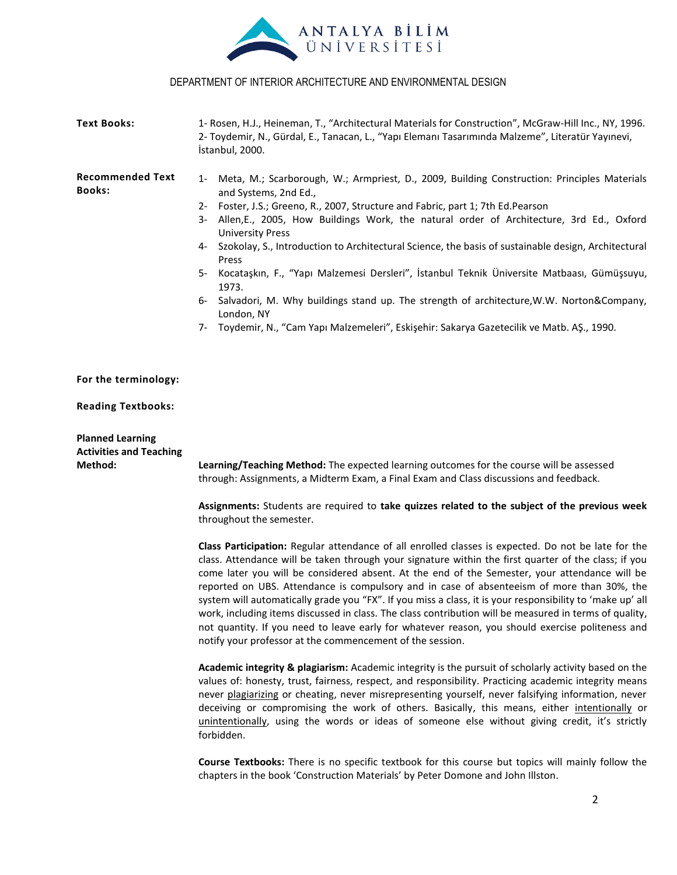

| <b>Text Books:</b>                                                   | 1- Rosen, H.J., Heineman, T., "Architectural Materials for Construction", McGraw-Hill Inc., NY, 1996.<br>2- Toydemir, N., Gürdal, E., Tanacan, L., "Yapı Elemanı Tasarımında Malzeme", Literatür Yayınevi,<br>İstanbul, 2000.                                                                                                                                                                                                                                                                                                                                                                                                                                                                                                                                                                            |  |  |  |
|----------------------------------------------------------------------|----------------------------------------------------------------------------------------------------------------------------------------------------------------------------------------------------------------------------------------------------------------------------------------------------------------------------------------------------------------------------------------------------------------------------------------------------------------------------------------------------------------------------------------------------------------------------------------------------------------------------------------------------------------------------------------------------------------------------------------------------------------------------------------------------------|--|--|--|
| <b>Recommended Text</b><br><b>Books:</b>                             | Meta, M.; Scarborough, W.; Armpriest, D., 2009, Building Construction: Principles Materials<br>$1 -$<br>and Systems, 2nd Ed.,<br>Foster, J.S.; Greeno, R., 2007, Structure and Fabric, part 1; 7th Ed. Pearson<br>$2 -$<br>Allen, E., 2005, How Buildings Work, the natural order of Architecture, 3rd Ed., Oxford<br>3-<br><b>University Press</b><br>Szokolay, S., Introduction to Architectural Science, the basis of sustainable design, Architectural<br>4-<br>Press<br>Kocataşkın, F., "Yapı Malzemesi Dersleri", İstanbul Teknik Üniversite Matbaası, Gümüşsuyu,<br>5-<br>1973.<br>Salvadori, M. Why buildings stand up. The strength of architecture, W.W. Norton&Company,<br>6-<br>London, NY<br>Toydemir, N., "Cam Yapı Malzemeleri", Eskişehir: Sakarya Gazetecilik ve Matb. AŞ., 1990.<br>7- |  |  |  |
| For the terminology:                                                 |                                                                                                                                                                                                                                                                                                                                                                                                                                                                                                                                                                                                                                                                                                                                                                                                          |  |  |  |
| <b>Reading Textbooks:</b>                                            |                                                                                                                                                                                                                                                                                                                                                                                                                                                                                                                                                                                                                                                                                                                                                                                                          |  |  |  |
| <b>Planned Learning</b><br><b>Activities and Teaching</b><br>Method: | Learning/Teaching Method: The expected learning outcomes for the course will be assessed<br>through: Assignments, a Midterm Exam, a Final Exam and Class discussions and feedback.                                                                                                                                                                                                                                                                                                                                                                                                                                                                                                                                                                                                                       |  |  |  |
|                                                                      | Assignments: Students are required to take quizzes related to the subject of the previous week<br>throughout the semester.                                                                                                                                                                                                                                                                                                                                                                                                                                                                                                                                                                                                                                                                               |  |  |  |
|                                                                      | Class Participation: Regular attendance of all enrolled classes is expected. Do not be late for the<br>class. Attendance will be taken through your signature within the first quarter of the class; if you<br>come later you will be considered absent. At the end of the Semester, your attendance will be<br>reported on UBS. Attendance is compulsory and in case of absenteeism of more than 30%, the<br>system will automatically grade you "FX". If you miss a class, it is your responsibility to 'make up' all<br>work, including items discussed in class. The class contribution will be measured in terms of quality,<br>not quantity. If you need to leave early for whatever reason, you should exercise politeness and<br>notify your professor at the commencement of the session.       |  |  |  |
|                                                                      | Academic integrity & plagiarism: Academic integrity is the pursuit of scholarly activity based on the<br>values of: honesty, trust, fairness, respect, and responsibility. Practicing academic integrity means<br>never plagiarizing or cheating, never misrepresenting yourself, never falsifying information, never<br>deceiving or compromising the work of others. Basically, this means, either intentionally or<br>unintentionally, using the words or ideas of someone else without giving credit, it's strictly<br>forbidden.                                                                                                                                                                                                                                                                    |  |  |  |
|                                                                      | Course Textbooks: There is no specific textbook for this course but topics will mainly follow the<br>chapters in the book 'Construction Materials' by Peter Domone and John Illston.                                                                                                                                                                                                                                                                                                                                                                                                                                                                                                                                                                                                                     |  |  |  |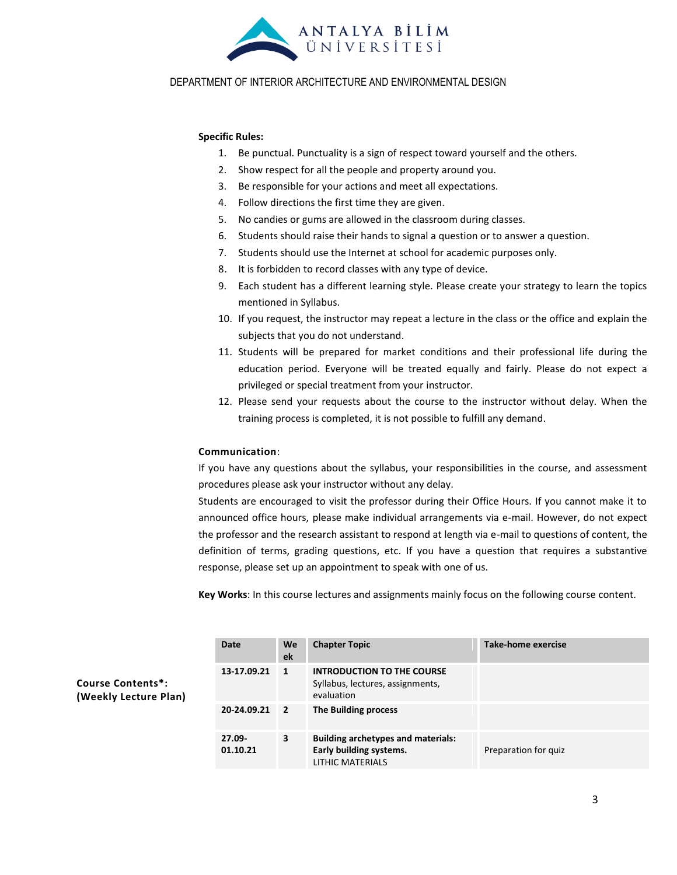

#### **Specific Rules:**

- 1. Be punctual. Punctuality is a sign of respect toward yourself and the others.
- 2. Show respect for all the people and property around you.
- 3. Be responsible for your actions and meet all expectations.
- 4. Follow directions the first time they are given.
- 5. No candies or gums are allowed in the classroom during classes.
- 6. Students should raise their hands to signal a question or to answer a question.
- 7. Students should use the Internet at school for academic purposes only.
	- 8. It is forbidden to record classes with any type of device.
	- 9. Each student has a different learning style. Please create your strategy to learn the topics mentioned in Syllabus.
	- 10. If you request, the instructor may repeat a lecture in the class or the office and explain the subjects that you do not understand.
	- 11. Students will be prepared for market conditions and their professional life during the education period. Everyone will be treated equally and fairly. Please do not expect a privileged or special treatment from your instructor.
	- 12. Please send your requests about the course to the instructor without delay. When the training process is completed, it is not possible to fulfill any demand.

### **Communication**:

If you have any questions about the syllabus, your responsibilities in the course, and assessment procedures please ask your instructor without any delay.

Students are encouraged to visit the professor during their Office Hours. If you cannot make it to announced office hours, please make individual arrangements via e-mail. However, do not expect the professor and the research assistant to respond at length via e-mail to questions of content, the definition of terms, grading questions, etc. If you have a question that requires a substantive response, please set up an appointment to speak with one of us.

**Key Works**: In this course lectures and assignments mainly focus on the following course content.

| Date                  | We<br>ek     | <b>Chapter Topic</b>                                                                     | Take-home exercise   |
|-----------------------|--------------|------------------------------------------------------------------------------------------|----------------------|
| 13-17.09.21           | $\mathbf{1}$ | <b>INTRODUCTION TO THE COURSE</b><br>Syllabus, lectures, assignments,<br>evaluation      |                      |
| 20-24.09.21 2         |              | The Building process                                                                     |                      |
| $27.09 -$<br>01.10.21 | 3            | <b>Building archetypes and materials:</b><br>Early building systems.<br>LITHIC MATERIALS | Preparation for quiz |

**Course Contents\*: (Weekly Lecture Plan)**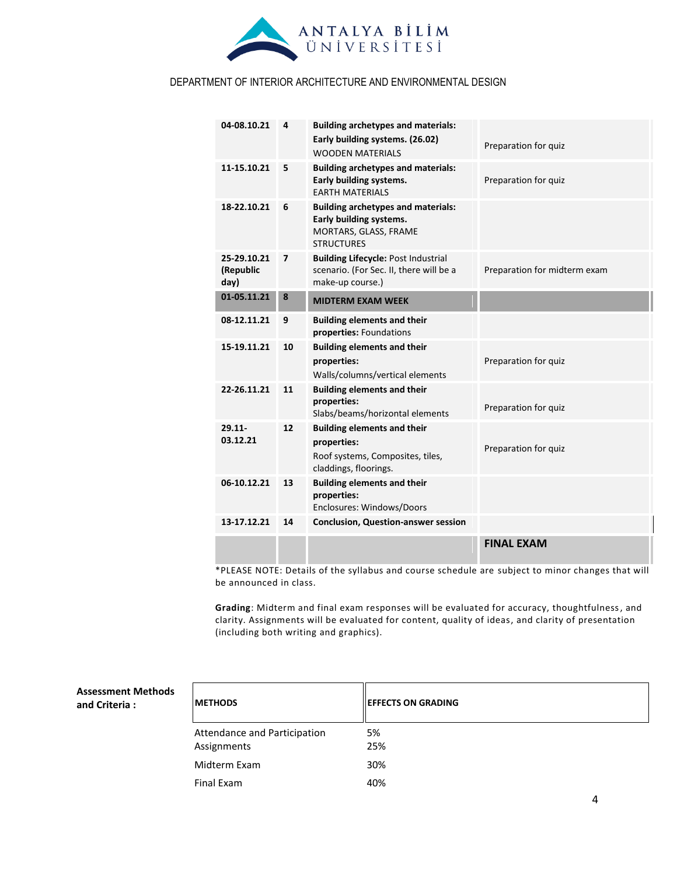

| 04-08.10.21                      | 4  | <b>Building archetypes and materials:</b><br>Early building systems. (26.02)<br><b>WOODEN MATERIALS</b>            | Preparation for quiz         |
|----------------------------------|----|--------------------------------------------------------------------------------------------------------------------|------------------------------|
| 11-15.10.21                      | 5  | <b>Building archetypes and materials:</b><br>Early building systems.<br><b>EARTH MATERIALS</b>                     | Preparation for quiz         |
| 18-22.10.21                      | 6  | <b>Building archetypes and materials:</b><br>Early building systems.<br>MORTARS, GLASS, FRAME<br><b>STRUCTURES</b> |                              |
| 25-29.10.21<br>(Republic<br>day) | 7  | <b>Building Lifecycle: Post Industrial</b><br>scenario. (For Sec. II, there will be a<br>make-up course.)          | Preparation for midterm exam |
| 01-05.11.21                      | 8  | <b>MIDTERM EXAM WEEK</b>                                                                                           |                              |
| 08-12.11.21                      | 9  | <b>Building elements and their</b><br>properties: Foundations                                                      |                              |
| 15-19.11.21                      | 10 | <b>Building elements and their</b><br>properties:<br>Walls/columns/vertical elements                               | Preparation for quiz         |
| 22-26.11.21                      | 11 | <b>Building elements and their</b><br>properties:<br>Slabs/beams/horizontal elements                               | Preparation for quiz         |
| $29.11 -$<br>03.12.21            | 12 | <b>Building elements and their</b><br>properties:<br>Roof systems, Composites, tiles,<br>claddings, floorings.     | Preparation for quiz         |
| 06-10.12.21                      | 13 | <b>Building elements and their</b><br>properties:<br>Enclosures: Windows/Doors                                     |                              |
| 13-17.12.21                      | 14 | <b>Conclusion, Question-answer session</b>                                                                         |                              |
|                                  |    |                                                                                                                    | <b>FINAL EXAM</b>            |

\*PLEASE NOTE: Details of the syllabus and course schedule are subject to minor changes that will be announced in class.

**Grading**: Midterm and final exam responses will be evaluated for accuracy, thoughtfulness, and clarity. Assignments will be evaluated for content, quality of ideas, and clarity of presentation (including both writing and graphics).

| <b>Assessment Methods</b><br>and Criteria: | <b>METHODS</b>                              | <b>EFFECTS ON GRADING</b> |
|--------------------------------------------|---------------------------------------------|---------------------------|
|                                            | Attendance and Participation<br>Assignments | 5%<br>25%                 |
|                                            | Midterm Exam                                | 30%                       |
|                                            | <b>Final Exam</b>                           | 40%                       |